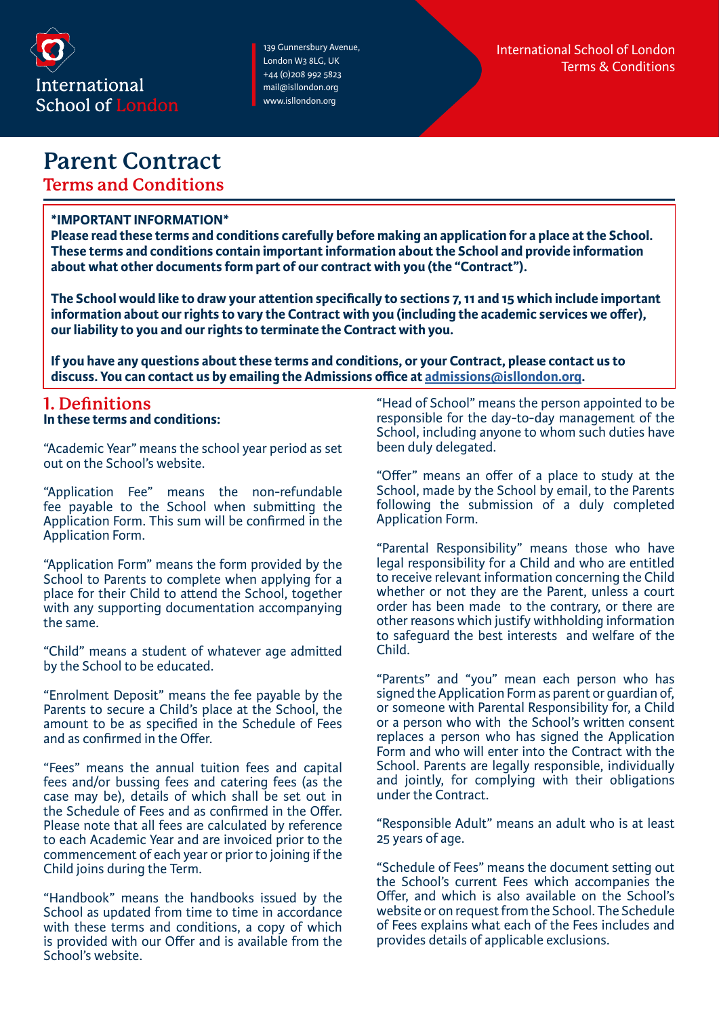

# **Parent Contract**

**Terms and Conditions**

### **\*IMPORTANT INFORMATION\***

**Please read these terms and conditions carefully before making an application for a place at the School. These terms and conditions contain important information about the School and provide information about what other documents form part of our contract with you (the "Contract").** 

**The School would like to draw your attention specifically to sections 7, 11 and 15 which include important information about our rights to vary the Contract with you (including the academic services we offer), our liability to you and our rights to terminate the Contract with you.** 

**If you have any questions about these terms and conditions, or your Contract, please contact us to discuss. You can contact us by emailing the Admissions office at [admissions@isllondon.org.](mailto:admissions%40isllondon.org?subject=)**

### **1. Definitions In these terms and conditions:**

"Academic Year" means the school year period as set out on the School's website.

"Application Fee" means the non-refundable fee payable to the School when submitting the Application Form. This sum will be confirmed in the Application Form.

"Application Form" means the form provided by the School to Parents to complete when applying for a place for their Child to attend the School, together with any supporting documentation accompanying the same.

"Child" means a student of whatever age admitted by the School to be educated.

"Enrolment Deposit" means the fee payable by the Parents to secure a Child's place at the School, the amount to be as specified in the Schedule of Fees and as confirmed in the Offer.

"Fees" means the annual tuition fees and capital fees and/or bussing fees and catering fees (as the case may be), details of which shall be set out in the Schedule of Fees and as confirmed in the Offer. Please note that all fees are calculated by reference to each Academic Year and are invoiced prior to the commencement of each year or prior to joining if the Child joins during the Term.

"Handbook" means the handbooks issued by the School as updated from time to time in accordance with these terms and conditions, a copy of which is provided with our Offer and is available from the School's website.

"Head of School" means the person appointed to be responsible for the day-to-day management of the School, including anyone to whom such duties have been duly delegated.

"Offer" means an offer of a place to study at the School, made by the School by email, to the Parents following the submission of a duly completed Application Form.

"Parental Responsibility" means those who have legal responsibility for a Child and who are entitled to receive relevant information concerning the Child whether or not they are the Parent, unless a court order has been made to the contrary, or there are other reasons which justify withholding information to safeguard the best interests and welfare of the Child.

"Parents" and "you" mean each person who has signed the Application Form as parent or guardian of, or someone with Parental Responsibility for, a Child or a person who with the School's written consent replaces a person who has signed the Application Form and who will enter into the Contract with the School. Parents are legally responsible, individually and jointly, for complying with their obligations under the Contract.

"Responsible Adult" means an adult who is at least 25 years of age.

"Schedule of Fees" means the document setting out the School's current Fees which accompanies the Offer, and which is also available on the School's website or on request from the School. The Schedule of Fees explains what each of the Fees includes and provides details of applicable exclusions.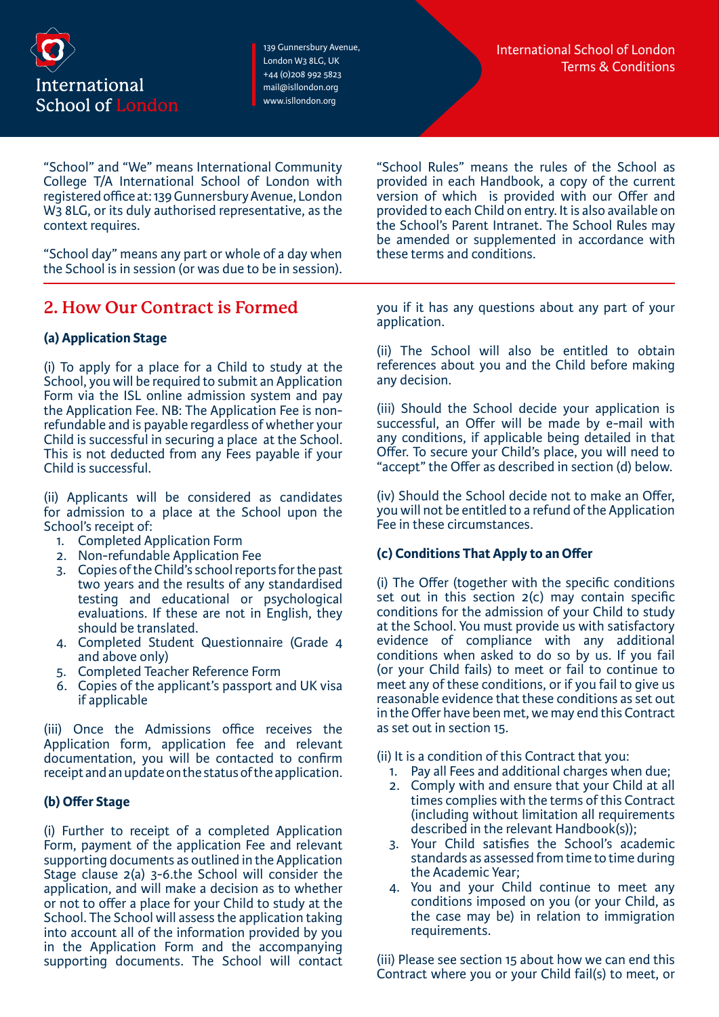

"School" and "We" means International Community College T/A International School of London with registered office at: 139 Gunnersbury Avenue, London W3 8LG, or its duly authorised representative, as the context requires.

"School day" means any part or whole of a day when the School is in session (or was due to be in session).

# **2. How Our Contract is Formed**

### **(a) Application Stage**

(i) To apply for a place for a Child to study at the School, you will be required to submit an Application Form via the ISL online admission system and pay the Application Fee. NB: The Application Fee is nonrefundable and is payable regardless of whether your Child is successful in securing a place at the School. This is not deducted from any Fees payable if your Child is successful.

(ii) Applicants will be considered as candidates for admission to a place at the School upon the School's receipt of:

- 1. Completed Application Form
- 2. Non-refundable Application Fee
- 3. Copies of the Child's school reports for the past two years and the results of any standardised testing and educational or psychological evaluations. If these are not in English, they should be translated.
- 4. Completed Student Questionnaire (Grade 4 and above only)
- 5. Completed Teacher Reference Form
- 6. Copies of the applicant's passport and UK visa if applicable

(iii) Once the Admissions office receives the Application form, application fee and relevant documentation, you will be contacted to confirm receipt and an update on the status of the application.

### **(b) Offer Stage**

(i) Further to receipt of a completed Application Form, payment of the application Fee and relevant supporting documents as outlined in the Application Stage clause 2(a) 3-6.the School will consider the application, and will make a decision as to whether or not to offer a place for your Child to study at the School. The School will assess the application taking into account all of the information provided by you in the Application Form and the accompanying supporting documents. The School will contact

"School Rules" means the rules of the School as provided in each Handbook, a copy of the current version of which is provided with our Offer and provided to each Child on entry. It is also available on the School's Parent Intranet. The School Rules may be amended or supplemented in accordance with these terms and conditions.

you if it has any questions about any part of your application.

(ii) The School will also be entitled to obtain references about you and the Child before making any decision.

(iii) Should the School decide your application is successful, an Offer will be made by e-mail with any conditions, if applicable being detailed in that Offer. To secure your Child's place, you will need to "accept" the Offer as described in section (d) below.

(iv) Should the School decide not to make an Offer, you will not be entitled to a refund of the Application Fee in these circumstances.

#### **(c) Conditions That Apply to an Offer**

(i) The Offer (together with the specific conditions set out in this section 2(c) may contain specific conditions for the admission of your Child to study at the School. You must provide us with satisfactory evidence of compliance with any additional conditions when asked to do so by us. If you fail (or your Child fails) to meet or fail to continue to meet any of these conditions, or if you fail to give us reasonable evidence that these conditions as set out in the Offer have been met, we may end this Contract as set out in section 15.

- (ii) It is a condition of this Contract that you:
	- 1. Pay all Fees and additional charges when due;
	- 2. Comply with and ensure that your Child at all times complies with the terms of this Contract (including without limitation all requirements described in the relevant Handbook(s));
	- 3. Your Child satisfies the School's academic standards as assessed from time to time during the Academic Year;
	- 4. You and your Child continue to meet any conditions imposed on you (or your Child, as the case may be) in relation to immigration requirements.

(iii) Please see section 15 about how we can end this Contract where you or your Child fail(s) to meet, or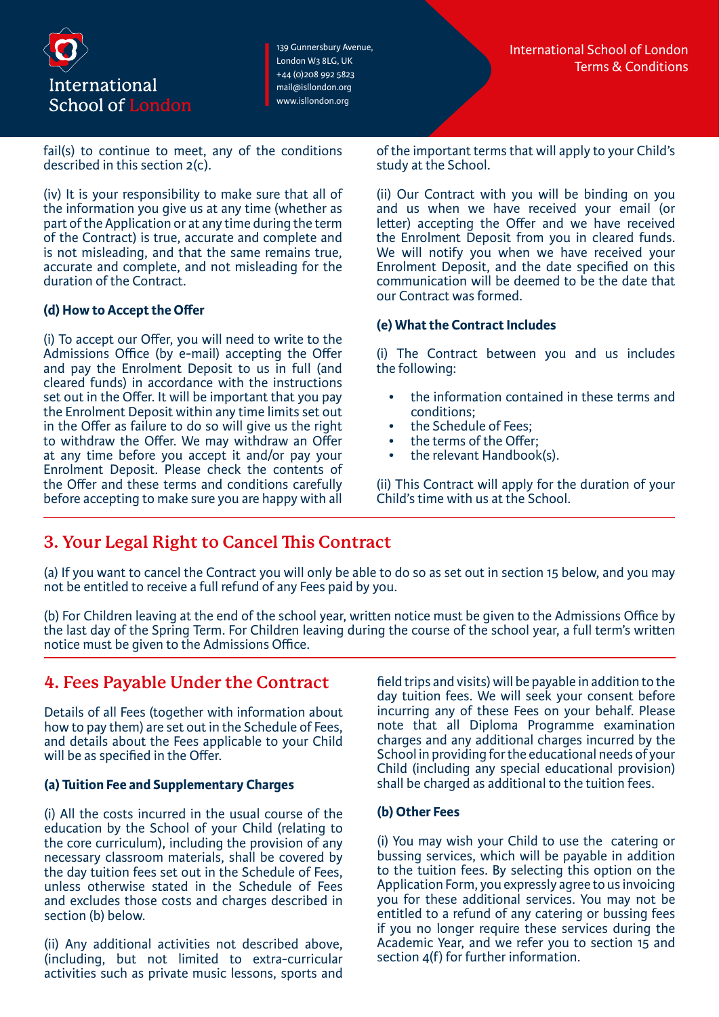

fail(s) to continue to meet, any of the conditions described in this section 2(c).

(iv) It is your responsibility to make sure that all of the information you give us at any time (whether as part of the Application or at any time during the term of the Contract) is true, accurate and complete and is not misleading, and that the same remains true, accurate and complete, and not misleading for the duration of the Contract.

### **(d) How to Accept the Offer**

(i) To accept our Offer, you will need to write to the Admissions Office (by e-mail) accepting the Offer and pay the Enrolment Deposit to us in full (and cleared funds) in accordance with the instructions set out in the Offer. It will be important that you pay the Enrolment Deposit within any time limits set out in the Offer as failure to do so will give us the right to withdraw the Offer. We may withdraw an Offer at any time before you accept it and/or pay your Enrolment Deposit. Please check the contents of the Offer and these terms and conditions carefully before accepting to make sure you are happy with all

of the important terms that will apply to your Child's study at the School.

(ii) Our Contract with you will be binding on you and us when we have received your email (or letter) accepting the Offer and we have received the Enrolment Deposit from you in cleared funds. We will notify you when we have received your Enrolment Deposit, and the date specified on this communication will be deemed to be the date that our Contract was formed.

### **(e) What the Contract Includes**

(i) The Contract between you and us includes the following:

- the information contained in these terms and conditions;
- the Schedule of Fees;
- the terms of the Offer:
- the relevant Handbook(s).

(ii) This Contract will apply for the duration of your Child's time with us at the School.

# **3. Your Legal Right to Cancel This Contract**

(a) If you want to cancel the Contract you will only be able to do so as set out in section 15 below, and you may not be entitled to receive a full refund of any Fees paid by you.

(b) For Children leaving at the end of the school year, written notice must be given to the Admissions Office by the last day of the Spring Term. For Children leaving during the course of the school year, a full term's written notice must be given to the Admissions Office.

# **4. Fees Payable Under the Contract**

Details of all Fees (together with information about how to pay them) are set out in the Schedule of Fees, and details about the Fees applicable to your Child will be as specified in the Offer.

### **(a) Tuition Fee and Supplementary Charges**

(i) All the costs incurred in the usual course of the education by the School of your Child (relating to the core curriculum), including the provision of any necessary classroom materials, shall be covered by the day tuition fees set out in the Schedule of Fees, unless otherwise stated in the Schedule of Fees and excludes those costs and charges described in section (b) below.

(ii) Any additional activities not described above, (including, but not limited to extra-curricular activities such as private music lessons, sports and field trips and visits) will be payable in addition to the day tuition fees. We will seek your consent before incurring any of these Fees on your behalf. Please note that all Diploma Programme examination charges and any additional charges incurred by the School in providing for the educational needs of your Child (including any special educational provision) shall be charged as additional to the tuition fees.

#### **(b) Other Fees**

(i) You may wish your Child to use the catering or bussing services, which will be payable in addition to the tuition fees. By selecting this option on the Application Form, you expressly agree to us invoicing you for these additional services. You may not be entitled to a refund of any catering or bussing fees if you no longer require these services during the Academic Year, and we refer you to section 15 and section 4(f) for further information.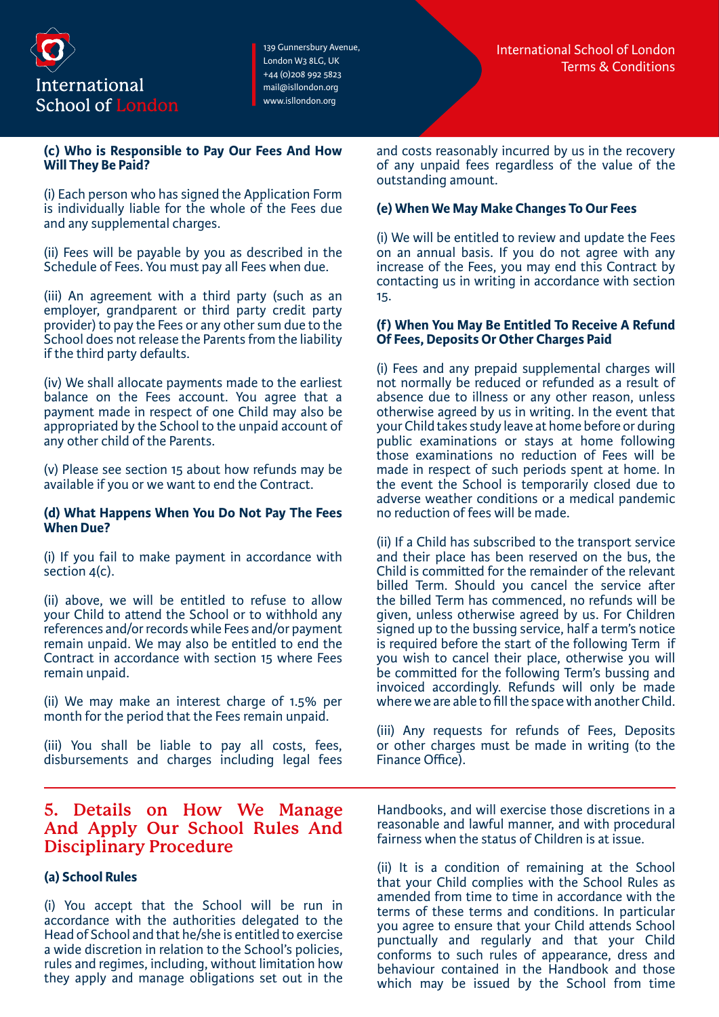

#### **(c) Who is Responsible to Pay Our Fees And How Will They Be Paid?**

(i) Each person who has signed the Application Form is individually liable for the whole of the Fees due and any supplemental charges.

(ii) Fees will be payable by you as described in the Schedule of Fees. You must pay all Fees when due.

(iii) An agreement with a third party (such as an employer, grandparent or third party credit party provider) to pay the Fees or any other sum due to the School does not release the Parents from the liability if the third party defaults.

(iv) We shall allocate payments made to the earliest balance on the Fees account. You agree that a payment made in respect of one Child may also be appropriated by the School to the unpaid account of any other child of the Parents.

(v) Please see section 15 about how refunds may be available if you or we want to end the Contract.

#### **(d) What Happens When You Do Not Pay The Fees When Due?**

(i) If you fail to make payment in accordance with section 4(c).

(ii) above, we will be entitled to refuse to allow your Child to attend the School or to withhold any references and/or records while Fees and/or payment remain unpaid. We may also be entitled to end the Contract in accordance with section 15 where Fees remain unpaid.

(ii) We may make an interest charge of 1.5% per month for the period that the Fees remain unpaid.

(iii) You shall be liable to pay all costs, fees, disbursements and charges including legal fees

### **5. Details on How We Manage And Apply Our School Rules And Disciplinary Procedure**

### **(a) School Rules**

(i) You accept that the School will be run in accordance with the authorities delegated to the Head of School and that he/she is entitled to exercise a wide discretion in relation to the School's policies, rules and regimes, including, without limitation how they apply and manage obligations set out in the and costs reasonably incurred by us in the recovery of any unpaid fees regardless of the value of the outstanding amount.

### **(e) When We May Make Changes To Our Fees**

(i) We will be entitled to review and update the Fees on an annual basis. If you do not agree with any increase of the Fees, you may end this Contract by contacting us in writing in accordance with section 15.

#### **(f) When You May Be Entitled To Receive A Refund Of Fees, Deposits Or Other Charges Paid**

(i) Fees and any prepaid supplemental charges will not normally be reduced or refunded as a result of absence due to illness or any other reason, unless otherwise agreed by us in writing. In the event that your Child takes study leave at home before or during public examinations or stays at home following those examinations no reduction of Fees will be made in respect of such periods spent at home. In the event the School is temporarily closed due to adverse weather conditions or a medical pandemic no reduction of fees will be made.

(ii) If a Child has subscribed to the transport service and their place has been reserved on the bus, the Child is committed for the remainder of the relevant billed Term. Should you cancel the service after the billed Term has commenced, no refunds will be given, unless otherwise agreed by us. For Children signed up to the bussing service, half a term's notice is required before the start of the following Term if you wish to cancel their place, otherwise you will be committed for the following Term's bussing and invoiced accordingly. Refunds will only be made where we are able to fill the space with another Child.

(iii) Any requests for refunds of Fees, Deposits or other charges must be made in writing (to the Finance Office).

Handbooks, and will exercise those discretions in a reasonable and lawful manner, and with procedural fairness when the status of Children is at issue.

(ii) It is a condition of remaining at the School that your Child complies with the School Rules as amended from time to time in accordance with the terms of these terms and conditions. In particular you agree to ensure that your Child attends School punctually and regularly and that your Child conforms to such rules of appearance, dress and behaviour contained in the Handbook and those which may be issued by the School from time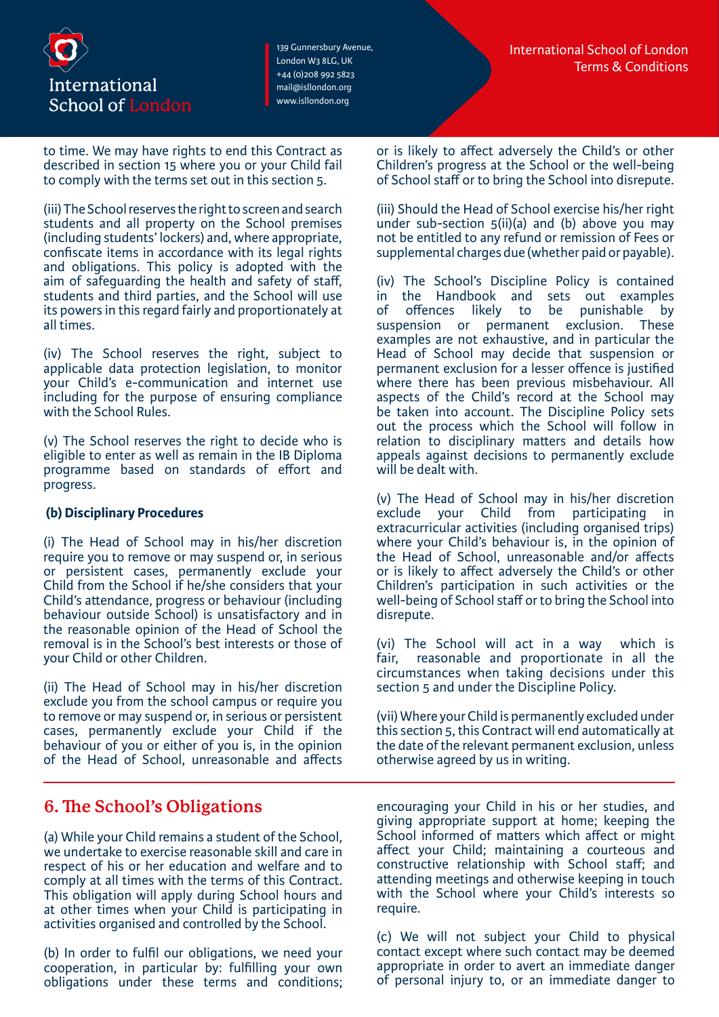

to time. We may have rights to end this Contract as described in section 15 where you or your Child fail to comply with the terms set out in this section 5.

(iii) The School reserves the right to screen and search students and all property on the School premises (including students' lockers) and, where appropriate, confiscate items in accordance with its legal rights and obligations. This policy is adopted with the aim of safeguarding the health and safety of staff, students and third parties, and the School will use its powers in this regard fairly and proportionately at all times.

(iv) The School reserves the right, subject to applicable data protection legislation, to monitor your Child's e-communication and internet use including for the purpose of ensuring compliance with the School Rules.

(v) The School reserves the right to decide who is eligible to enter as well as remain in the IB Diploma programme based on standards of effort and progress.

### **(b) Disciplinary Procedures**

(i) The Head of School may in his/her discretion require you to remove or may suspend or, in serious or persistent cases, permanently exclude your Child from the School if he/she considers that your Child's attendance, progress or behaviour (including behaviour outside School) is unsatisfactory and in the reasonable opinion of the Head of School the removal is in the School's best interests or those of your Child or other Children.

(ii) The Head of School may in his/her discretion exclude you from the school campus or require you to remove or may suspend or, in serious or persistent cases, permanently exclude your Child if the behaviour of you or either of you is, in the opinion of the Head of School, unreasonable and affects

# **6. The School's Obligations**

(a) While your Child remains a student of the School, we undertake to exercise reasonable skill and care in respect of his or her education and welfare and to comply at all times with the terms of this Contract. This obligation will apply during School hours and at other times when your Child is participating in activities organised and controlled by the School.

(b) In order to fulfil our obligations, we need your cooperation, in particular by: fulfilling your own obligations under these terms and conditions; or is likely to affect adversely the Child's or other Children's progress at the School or the well-being of School staff or to bring the School into disrepute.

(iii) Should the Head of School exercise his/her right under sub-section  $5(ii)(a)$  and (b) above you may not be entitled to any refund or remission of Fees or supplemental charges due (whether paid or payable).

(iv) The School's Discipline Policy is contained in the Handbook and sets out examples<br>of offences likely to be punishable by offences likely to be punishable by suspension or permanent exclusion. These examples are not exhaustive, and in particular the Head of School may decide that suspension or permanent exclusion for a lesser offence is justified where there has been previous misbehaviour. All aspects of the Child's record at the School may be taken into account. The Discipline Policy sets out the process which the School will follow in relation to disciplinary matters and details how appeals against decisions to permanently exclude will be dealt with.

(v) The Head of School may in his/her discretion exclude your Child from participating in extracurricular activities (including organised trips) where your Child's behaviour is, in the opinion of the Head of School, unreasonable and/or affects or is likely to affect adversely the Child's or other Children's participation in such activities or the well-being of School staff or to bring the School into disrepute.

(vi) The School will act in a way which is fair, reasonable and proportionate in all the circumstances when taking decisions under this section 5 and under the Discipline Policy.

(vii) Where your Child is permanently excluded under this section 5, this Contract will end automatically at the date of the relevant permanent exclusion, unless otherwise agreed by us in writing.

encouraging your Child in his or her studies, and giving appropriate support at home; keeping the School informed of matters which affect or might affect your Child; maintaining a courteous and constructive relationship with School staff; and attending meetings and otherwise keeping in touch with the School where your Child's interests so require.

(c) We will not subject your Child to physical contact except where such contact may be deemed appropriate in order to avert an immediate danger of personal injury to, or an immediate danger to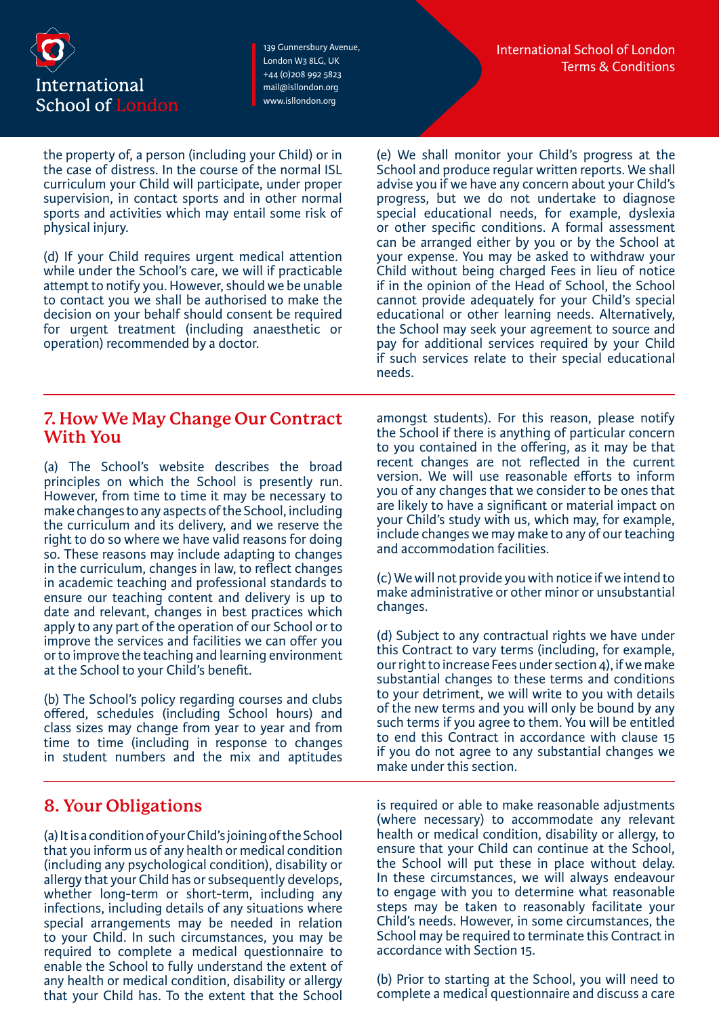

the property of, a person (including your Child) or in the case of distress. In the course of the normal ISL curriculum your Child will participate, under proper supervision, in contact sports and in other normal sports and activities which may entail some risk of physical injury.

(d) If your Child requires urgent medical attention while under the School's care, we will if practicable attempt to notify you. However, should we be unable to contact you we shall be authorised to make the decision on your behalf should consent be required for urgent treatment (including anaesthetic or operation) recommended by a doctor.

(e) We shall monitor your Child's progress at the School and produce regular written reports. We shall advise you if we have any concern about your Child's progress, but we do not undertake to diagnose special educational needs, for example, dyslexia or other specific conditions. A formal assessment can be arranged either by you or by the School at your expense. You may be asked to withdraw your Child without being charged Fees in lieu of notice if in the opinion of the Head of School, the School cannot provide adequately for your Child's special educational or other learning needs. Alternatively, the School may seek your agreement to source and pay for additional services required by your Child if such services relate to their special educational needs.

### **7. How We May Change Our Contract With You**

(a) The School's website describes the broad principles on which the School is presently run. However, from time to time it may be necessary to make changes to any aspects of the School, including the curriculum and its delivery, and we reserve the right to do so where we have valid reasons for doing so. These reasons may include adapting to changes in the curriculum, changes in law, to reflect changes in academic teaching and professional standards to ensure our teaching content and delivery is up to date and relevant, changes in best practices which apply to any part of the operation of our School or to improve the services and facilities we can offer you or to improve the teaching and learning environment at the School to your Child's benefit.

(b) The School's policy regarding courses and clubs offered, schedules (including School hours) and class sizes may change from year to year and from time to time (including in response to changes in student numbers and the mix and aptitudes

# **8. Your Obligations**

(a) It is a condition of your Child's joining of the School that you inform us of any health or medical condition (including any psychological condition), disability or allergy that your Child has or subsequently develops, whether long-term or short-term, including any infections, including details of any situations where special arrangements may be needed in relation to your Child. In such circumstances, you may be required to complete a medical questionnaire to enable the School to fully understand the extent of any health or medical condition, disability or allergy that your Child has. To the extent that the School amongst students). For this reason, please notify the School if there is anything of particular concern to you contained in the offering, as it may be that recent changes are not reflected in the current version. We will use reasonable efforts to inform you of any changes that we consider to be ones that are likely to have a significant or material impact on your Child's study with us, which may, for example, include changes we may make to any of our teaching and accommodation facilities.

(c) We will not provide you with notice if we intend to make administrative or other minor or unsubstantial changes.

(d) Subject to any contractual rights we have under this Contract to vary terms (including, for example, our right to increase Fees under section 4), if we make substantial changes to these terms and conditions to your detriment, we will write to you with details of the new terms and you will only be bound by any such terms if you agree to them. You will be entitled to end this Contract in accordance with clause 15 if you do not agree to any substantial changes we make under this section.

is required or able to make reasonable adjustments (where necessary) to accommodate any relevant health or medical condition, disability or allergy, to ensure that your Child can continue at the School, the School will put these in place without delay. In these circumstances, we will always endeavour to engage with you to determine what reasonable steps may be taken to reasonably facilitate your Child's needs. However, in some circumstances, the School may be required to terminate this Contract in accordance with Section 15.

(b) Prior to starting at the School, you will need to complete a medical questionnaire and discuss a care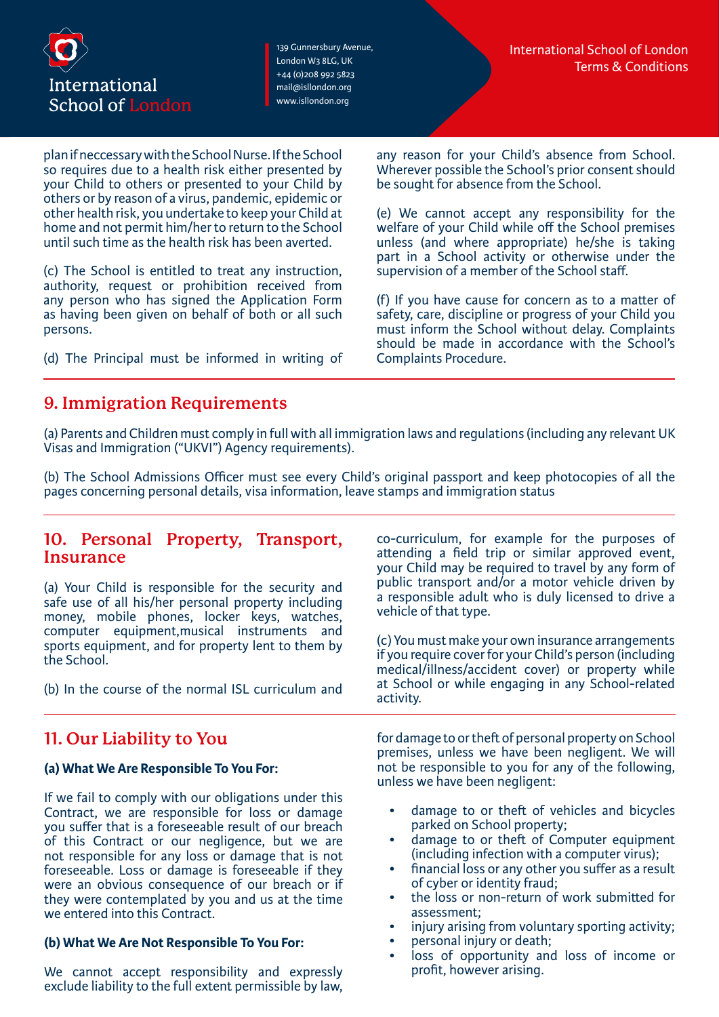

plan if neccessary with the School Nurse. If the School so requires due to a health risk either presented by your Child to others or presented to your Child by others or by reason of a virus, pandemic, epidemic or other health risk, you undertake to keep your Child at home and not permit him/her to return to the School until such time as the health risk has been averted.

(c) The School is entitled to treat any instruction, authority, request or prohibition received from any person who has signed the Application Form as having been given on behalf of both or all such persons.

(d) The Principal must be informed in writing of

**9. Immigration Requirements**

any reason for your Child's absence from School. Wherever possible the School's prior consent should be sought for absence from the School.

(e) We cannot accept any responsibility for the welfare of your Child while off the School premises unless (and where appropriate) he/she is taking part in a School activity or otherwise under the supervision of a member of the School staff.

(f) If you have cause for concern as to a matter of safety, care, discipline or progress of your Child you must inform the School without delay. Complaints should be made in accordance with the School's Complaints Procedure.

(a) Parents and Children must comply in full with all immigration laws and regulations (including any relevant UK Visas and Immigration ("UKVI") Agency requirements).

(b) The School Admissions Officer must see every Child's original passport and keep photocopies of all the pages concerning personal details, visa information, leave stamps and immigration status

### **10. Personal Property, Transport, Insurance**

(a) Your Child is responsible for the security and safe use of all his/her personal property including money, mobile phones, locker keys, watches, computer equipment,musical instruments and sports equipment, and for property lent to them by the School.

(b) In the course of the normal ISL curriculum and

# **11. Our Liability to You**

### **(a) What We Are Responsible To You For:**

If we fail to comply with our obligations under this Contract, we are responsible for loss or damage you suffer that is a foreseeable result of our breach of this Contract or our negligence, but we are not responsible for any loss or damage that is not foreseeable. Loss or damage is foreseeable if they were an obvious consequence of our breach or if they were contemplated by you and us at the time we entered into this Contract.

### **(b) What We Are Not Responsible To You For:**

We cannot accept responsibility and expressly exclude liability to the full extent permissible by law, co-curriculum, for example for the purposes of attending a field trip or similar approved event, your Child may be required to travel by any form of public transport and/or a motor vehicle driven by a responsible adult who is duly licensed to drive a vehicle of that type.

(c) You must make your own insurance arrangements if you require cover for your Child's person (including medical/illness/accident cover) or property while at School or while engaging in any School-related activity.

for damage to or theft of personal property on School premises, unless we have been negligent. We will not be responsible to you for any of the following, unless we have been negligent:

- damage to or theft of vehicles and bicycles parked on School property;
- damage to or theft of Computer equipment (including infection with a computer virus);
- financial loss or any other you suffer as a result of cyber or identity fraud;
- the loss or non-return of work submitted for assessment;
- injury arising from voluntary sporting activity;
- personal injury or death;
- loss of opportunity and loss of income or profit, however arising.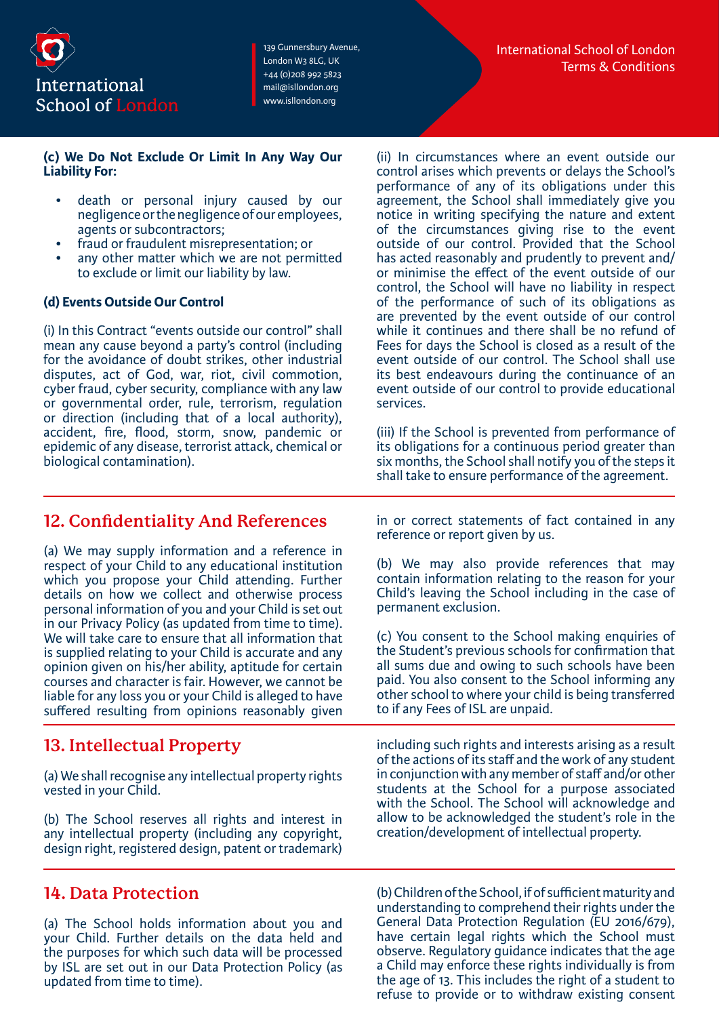

#### **(c) We Do Not Exclude Or Limit In Any Way Our Liability For:**

- death or personal injury caused by our negligence or the negligence of our employees, agents or subcontractors;
- fraud or fraudulent misrepresentation; or
- any other matter which we are not permitted to exclude or limit our liability by law.

### **(d) Events Outside Our Control**

(i) In this Contract "events outside our control" shall mean any cause beyond a party's control (including for the avoidance of doubt strikes, other industrial disputes, act of God, war, riot, civil commotion, cyber fraud, cyber security, compliance with any law or governmental order, rule, terrorism, regulation or direction (including that of a local authority), accident, fire, flood, storm, snow, pandemic or epidemic of any disease, terrorist attack, chemical or biological contamination).

(ii) In circumstances where an event outside our control arises which prevents or delays the School's performance of any of its obligations under this agreement, the School shall immediately give you notice in writing specifying the nature and extent of the circumstances giving rise to the event outside of our control. Provided that the School has acted reasonably and prudently to prevent and/ or minimise the effect of the event outside of our control, the School will have no liability in respect of the performance of such of its obligations as are prevented by the event outside of our control while it continues and there shall be no refund of Fees for days the School is closed as a result of the event outside of our control. The School shall use its best endeavours during the continuance of an event outside of our control to provide educational services.

(iii) If the School is prevented from performance of its obligations for a continuous period greater than six months, the School shall notify you of the steps it shall take to ensure performance of the agreement.

### **12. Confidentiality And References**

(a) We may supply information and a reference in respect of your Child to any educational institution which you propose your Child attending. Further details on how we collect and otherwise process personal information of you and your Child is set out in our Privacy Policy (as updated from time to time). We will take care to ensure that all information that is supplied relating to your Child is accurate and any opinion given on his/her ability, aptitude for certain courses and character is fair. However, we cannot be liable for any loss you or your Child is alleged to have suffered resulting from opinions reasonably given

# **13. Intellectual Property**

(a) We shall recognise any intellectual property rights vested in your Child.

(b) The School reserves all rights and interest in any intellectual property (including any copyright, design right, registered design, patent or trademark)

### **14. Data Protection**

(a) The School holds information about you and your Child. Further details on the data held and the purposes for which such data will be processed by ISL are set out in our Data Protection Policy (as updated from time to time).

in or correct statements of fact contained in any reference or report given by us.

(b) We may also provide references that may contain information relating to the reason for your Child's leaving the School including in the case of permanent exclusion.

(c) You consent to the School making enquiries of the Student's previous schools for confirmation that all sums due and owing to such schools have been paid. You also consent to the School informing any other school to where your child is being transferred to if any Fees of ISL are unpaid.

including such rights and interests arising as a result of the actions of its staff and the work of any student in conjunction with any member of staff and/or other students at the School for a purpose associated with the School. The School will acknowledge and allow to be acknowledged the student's role in the creation/development of intellectual property.

(b) Children of the School, if of sufficient maturity and understanding to comprehend their rights under the General Data Protection Regulation (EU 2016/679), have certain legal rights which the School must observe. Regulatory guidance indicates that the age a Child may enforce these rights individually is from the age of 13. This includes the right of a student to refuse to provide or to withdraw existing consent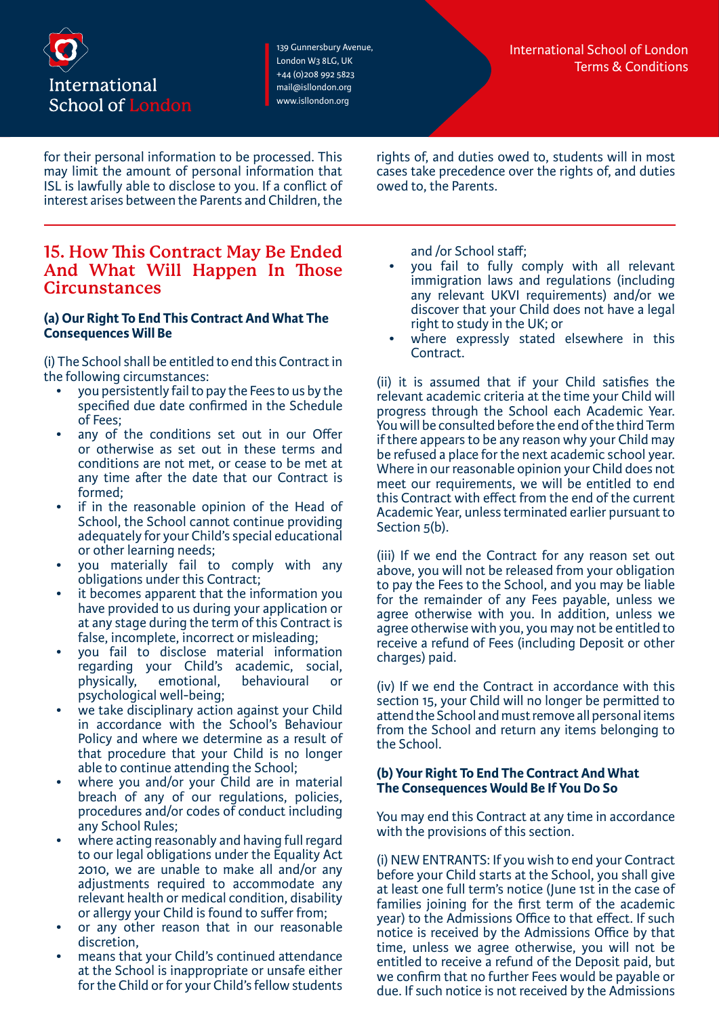

for their personal information to be processed. This may limit the amount of personal information that ISL is lawfully able to disclose to you. If a conflict of interest arises between the Parents and Children, the rights of, and duties owed to, students will in most cases take precedence over the rights of, and duties owed to, the Parents.

### **15. How This Contract May Be Ended And What Will Happen In Those Circunstances**

### **(a) Our Right To End This Contract And What The Consequences Will Be**

(i) The School shall be entitled to end this Contract in the following circumstances:

- you persistently fail to pay the Fees to us by the specified due date confirmed in the Schedule of Fees;
- any of the conditions set out in our Offer or otherwise as set out in these terms and conditions are not met, or cease to be met at any time after the date that our Contract is formed;
- if in the reasonable opinion of the Head of School, the School cannot continue providing adequately for your Child's special educational or other learning needs;
- you materially fail to comply with any obligations under this Contract;
- it becomes apparent that the information you have provided to us during your application or at any stage during the term of this Contract is false, incomplete, incorrect or misleading;
- you fail to disclose material information regarding your Child's academic, social, physically, emotional, behavioural or psychological well-being;
- we take disciplinary action against your Child in accordance with the School's Behaviour Policy and where we determine as a result of that procedure that your Child is no longer able to continue attending the School;
- where you and/or your Child are in material breach of any of our regulations, policies, procedures and/or codes of conduct including any School Rules; • where acting reasonably and having full regard
- to our legal obligations under the Equality Act 2010, we are unable to make all and/or any adjustments required to accommodate any relevant health or medical condition, disability or allergy your Child is found to suffer from;
- or any other reason that in our reasonable discretion,
- means that your Child's continued attendance at the School is inappropriate or unsafe either for the Child or for your Child's fellow students

and /or School staff;

- you fail to fully comply with all relevant immigration laws and regulations (including any relevant UKVI requirements) and/or we discover that your Child does not have a legal right to study in the UK; or
- where expressly stated elsewhere in this Contract.

(ii) it is assumed that if your Child satisfies the relevant academic criteria at the time your Child will progress through the School each Academic Year. You will be consulted before the end of the third Term if there appears to be any reason why your Child may be refused a place for the next academic school year. Where in our reasonable opinion your Child does not meet our requirements, we will be entitled to end this Contract with effect from the end of the current Academic Year, unless terminated earlier pursuant to Section 5(b).

(iii) If we end the Contract for any reason set out above, you will not be released from your obligation to pay the Fees to the School, and you may be liable for the remainder of any Fees payable, unless we agree otherwise with you. In addition, unless we agree otherwise with you, you may not be entitled to receive a refund of Fees (including Deposit or other charges) paid.

(iv) If we end the Contract in accordance with this section 15, your Child will no longer be permitted to attend the School and must remove all personal items from the School and return any items belonging to the School.

### **(b) Your Right To End The Contract And What The Consequences Would Be If You Do So**

You may end this Contract at any time in accordance with the provisions of this section.

(i) NEW ENTRANTS: If you wish to end your Contract before your Child starts at the School, you shall give at least one full term's notice (June 1st in the case of families joining for the first term of the academic year) to the Admissions Office to that effect. If such notice is received by the Admissions Office by that time, unless we agree otherwise, you will not be entitled to receive a refund of the Deposit paid, but we confirm that no further Fees would be payable or due. If such notice is not received by the Admissions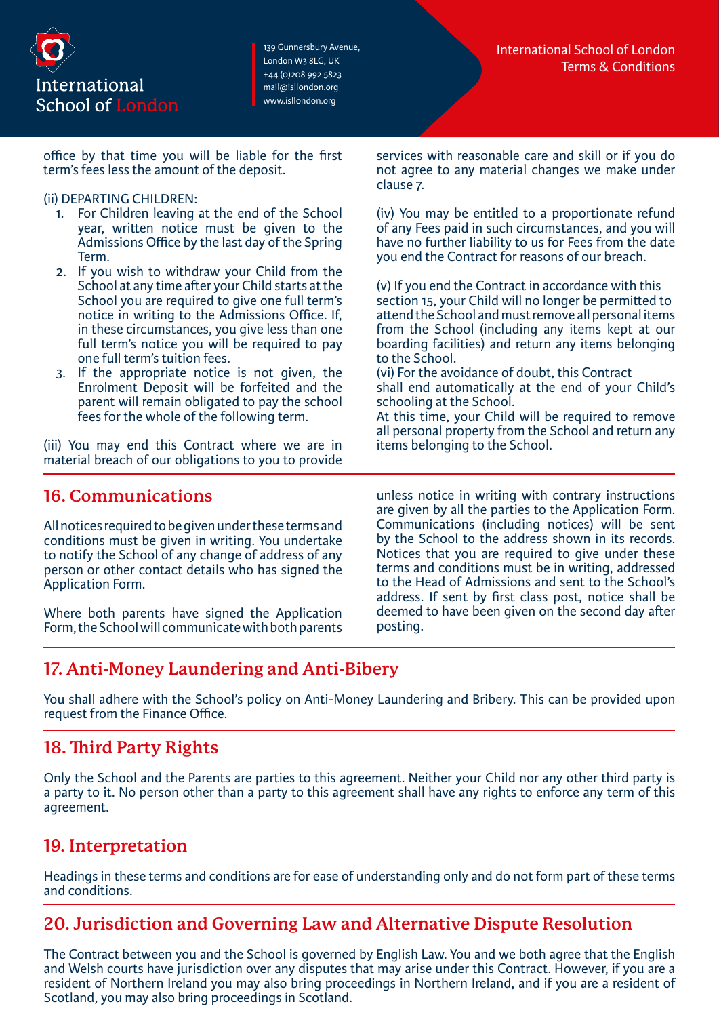

office by that time you will be liable for the first term's fees less the amount of the deposit.

### (ii) DEPARTING CHILDREN:

- 1. For Children leaving at the end of the School year, written notice must be given to the Admissions Office by the last day of the Spring Term.
- 2. If you wish to withdraw your Child from the School at any time after your Child starts at the School you are required to give one full term's notice in writing to the Admissions Office. If, in these circumstances, you give less than one full term's notice you will be required to pay one full term's tuition fees.
- 3. If the appropriate notice is not given, the Enrolment Deposit will be forfeited and the parent will remain obligated to pay the school fees for the whole of the following term.

(iii) You may end this Contract where we are in material breach of our obligations to you to provide

**16. Communications**

All notices required to be given under these terms and conditions must be given in writing. You undertake to notify the School of any change of address of any person or other contact details who has signed the Application Form.

Where both parents have signed the Application Form, the School will communicate with both parents services with reasonable care and skill or if you do not agree to any material changes we make under clause 7.

(iv) You may be entitled to a proportionate refund of any Fees paid in such circumstances, and you will have no further liability to us for Fees from the date you end the Contract for reasons of our breach.

(v) If you end the Contract in accordance with this section 15, your Child will no longer be permitted to attend the School and must remove all personal items from the School (including any items kept at our boarding facilities) and return any items belonging to the School.

(vi) For the avoidance of doubt, this Contract shall end automatically at the end of your Child's schooling at the School.

At this time, your Child will be required to remove all personal property from the School and return any items belonging to the School.

unless notice in writing with contrary instructions are given by all the parties to the Application Form. Communications (including notices) will be sent by the School to the address shown in its records. Notices that you are required to give under these terms and conditions must be in writing, addressed to the Head of Admissions and sent to the School's address. If sent by first class post, notice shall be deemed to have been given on the second day after posting.

# **17. Anti-Money Laundering and Anti-Bibery**

You shall adhere with the School's policy on Anti-Money Laundering and Bribery. This can be provided upon request from the Finance Office.

# **18. Third Party Rights**

Only the School and the Parents are parties to this agreement. Neither your Child nor any other third party is a party to it. No person other than a party to this agreement shall have any rights to enforce any term of this agreement.

# **19. Interpretation**

Headings in these terms and conditions are for ease of understanding only and do not form part of these terms and conditions.

# **20. Jurisdiction and Governing Law and Alternative Dispute Resolution**

The Contract between you and the School is governed by English Law. You and we both agree that the English and Welsh courts have jurisdiction over any disputes that may arise under this Contract. However, if you are a resident of Northern Ireland you may also bring proceedings in Northern Ireland, and if you are a resident of Scotland, you may also bring proceedings in Scotland.